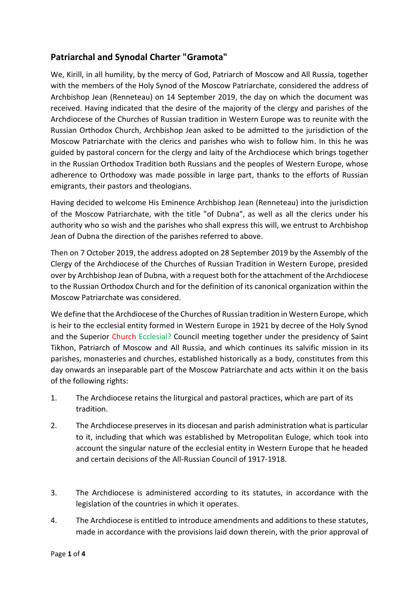## **Patriarchal and Synodal Charter "Gramota"**

We, Kirill, in all humility, by the mercy of God, Patriarch of Moscow and All Russia, together with the members of the Holy Synod of the Moscow Patriarchate, considered the address of Archbishop Jean (Renneteau) on 14 September 2019, the day on which the document was received. Having indicated that the desire of the majority of the clergy and parishes of the Archdiocese of the Churches of Russian tradition in Western Europe was to reunite with the Russian Orthodox Church, Archbishop Jean asked to be admitted to the jurisdiction of the Moscow Patriarchate with the clerics and parishes who wish to follow him. In this he was guided by pastoral concern for the clergy and laity of the Archdiocese which brings together in the Russian Orthodox Tradition both Russians and the peoples of Western Europe, whose adherence to Orthodoxy was made possible in large part, thanks to the efforts of Russian emigrants, their pastors and theologians.

Having decided to welcome His Eminence Archbishop Jean (Renneteau) into the jurisdiction of the Moscow Patriarchate, with the title "of Dubna", as well as all the clerics under his authority who so wish and the parishes who shall express this will, we entrust to Archbishop Jean of Dubna the direction of the parishes referred to above.

Then on 7 October 2019, the address adopted on 28 September 2019 by the Assembly of the Clergy of the Archdiocese of the Churches of Russian Tradition in Western Europe, presided over by Archbishop Jean of Dubna, with a request both for the attachment of the Archdiocese to the Russian Orthodox Church and for the definition of its canonical organization within the Moscow Patriarchate was considered.

We define that the Archdiocese of the Churches of Russian tradition in Western Europe, which is heir to the ecclesial entity formed in Western Europe in 1921 by decree of the Holy Synod and the Superior Church Ecclesial? Council meeting together under the presidency of Saint Tikhon, Patriarch of Moscow and All Russia, and which continues its salvific mission in its parishes, monasteries and churches, established historically as a body, constitutes from this day onwards an inseparable part of the Moscow Patriarchate and acts within it on the basis of the following rights:

- 1. The Archdiocese retains the liturgical and pastoral practices, which are part of its tradition.
- 2. The Archdiocese preserves in its diocesan and parish administration what is particular to it, including that which was established by Metropolitan Euloge, which took into account the singular nature of the ecclesial entity in Western Europe that he headed and certain decisions of the All-Russian Council of 1917-1918.
- 3. The Archdiocese is administered according to its statutes, in accordance with the legislation of the countries in which it operates.
- 4. The Archdiocese is entitled to introduce amendments and additions to these statutes, made in accordance with the provisions laid down therein, with the prior approval of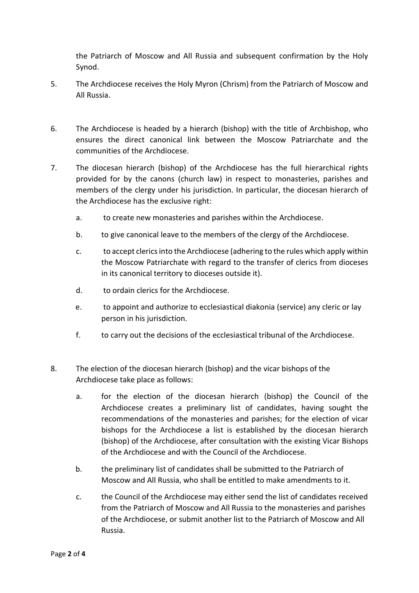the Patriarch of Moscow and All Russia and subsequent confirmation by the Holy Synod.

- 5. The Archdiocese receives the Holy Myron (Chrism) from the Patriarch of Moscow and All Russia.
- 6. The Archdiocese is headed by a hierarch (bishop) with the title of Archbishop, who ensures the direct canonical link between the Moscow Patriarchate and the communities of the Archdiocese.
- 7. The diocesan hierarch (bishop) of the Archdiocese has the full hierarchical rights provided for by the canons (church law) in respect to monasteries, parishes and members of the clergy under his jurisdiction. In particular, the diocesan hierarch of the Archdiocese has the exclusive right:
	- a. to create new monasteries and parishes within the Archdiocese.
	- b. to give canonical leave to the members of the clergy of the Archdiocese.
	- c. to accept clerics into the Archdiocese (adhering to the rules which apply within the Moscow Patriarchate with regard to the transfer of clerics from dioceses in its canonical territory to dioceses outside it).
	- d. to ordain clerics for the Archdiocese.
	- e. to appoint and authorize to ecclesiastical diakonia (service) any cleric or lay person in his jurisdiction.
	- f. to carry out the decisions of the ecclesiastical tribunal of the Archdiocese.
- 8. The election of the diocesan hierarch (bishop) and the vicar bishops of the Archdiocese take place as follows:
	- a. for the election of the diocesan hierarch (bishop) the Council of the Archdiocese creates a preliminary list of candidates, having sought the recommendations of the monasteries and parishes; for the election of vicar bishops for the Archdiocese a list is established by the diocesan hierarch (bishop) of the Archdiocese, after consultation with the existing Vicar Bishops of the Archdiocese and with the Council of the Archdiocese.
	- b. the preliminary list of candidates shall be submitted to the Patriarch of Moscow and All Russia, who shall be entitled to make amendments to it.
	- c. the Council of the Archdiocese may either send the list of candidates received from the Patriarch of Moscow and All Russia to the monasteries and parishes of the Archdiocese, or submit another list to the Patriarch of Moscow and All Russia.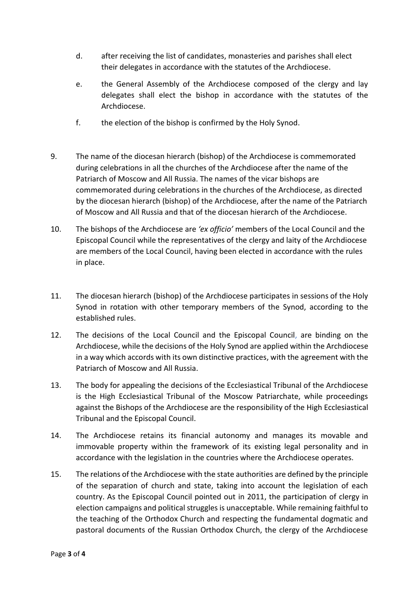- d. after receiving the list of candidates, monasteries and parishes shall elect their delegates in accordance with the statutes of the Archdiocese.
- e. the General Assembly of the Archdiocese composed of the clergy and lay delegates shall elect the bishop in accordance with the statutes of the Archdiocese.
- f. the election of the bishop is confirmed by the Holy Synod.
- 9. The name of the diocesan hierarch (bishop) of the Archdiocese is commemorated during celebrations in all the churches of the Archdiocese after the name of the Patriarch of Moscow and All Russia. The names of the vicar bishops are commemorated during celebrations in the churches of the Archdiocese, as directed by the diocesan hierarch (bishop) of the Archdiocese, after the name of the Patriarch of Moscow and All Russia and that of the diocesan hierarch of the Archdiocese.
- 10. The bishops of the Archdiocese are *'ex officio'* members of the Local Council and the Episcopal Council while the representatives of the clergy and laity of the Archdiocese are members of the Local Council, having been elected in accordance with the rules in place.
- 11. The diocesan hierarch (bishop) of the Archdiocese participates in sessions of the Holy Synod in rotation with other temporary members of the Synod, according to the established rules.
- 12. The decisions of the Local Council and the Episcopal Council, are binding on the Archdiocese, while the decisions of the Holy Synod are applied within the Archdiocese in a way which accords with its own distinctive practices, with the agreement with the Patriarch of Moscow and All Russia.
- 13. The body for appealing the decisions of the Ecclesiastical Tribunal of the Archdiocese is the High Ecclesiastical Tribunal of the Moscow Patriarchate, while proceedings against the Bishops of the Archdiocese are the responsibility of the High Ecclesiastical Tribunal and the Episcopal Council.
- 14. The Archdiocese retains its financial autonomy and manages its movable and immovable property within the framework of its existing legal personality and in accordance with the legislation in the countries where the Archdiocese operates.
- 15. The relations of the Archdiocese with the state authorities are defined by the principle of the separation of church and state, taking into account the legislation of each country. As the Episcopal Council pointed out in 2011, the participation of clergy in election campaigns and political struggles is unacceptable. While remaining faithful to the teaching of the Orthodox Church and respecting the fundamental dogmatic and pastoral documents of the Russian Orthodox Church, the clergy of the Archdiocese